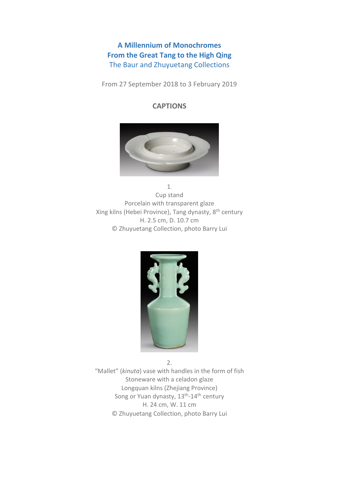## **A Millennium of Monochromes From the Great Tang to the High Qing** The Baur and Zhuyuetang Collections

From 27 September 2018 to 3 February 2019

## **CAPTIONS**



1. Cup stand Porcelain with transparent glaze Xing kilns (Hebei Province), Tang dynasty, 8<sup>th</sup> century H. 2.5 cm, D. 10.7 cm © Zhuyuetang Collection, photo Barry Lui



2. "Mallet" (*kinuta*) vase with handles in the form of fish Stoneware with a celadon glaze Longquan kilns (Zhejiang Province) Song or Yuan dynasty, 13<sup>th</sup>-14<sup>th</sup> century H. 24 cm, W. 11 cm © Zhuyuetang Collection, photo Barry Lui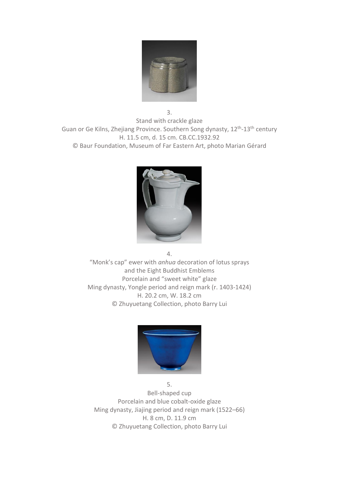

3. Stand with crackle glaze Guan or Ge Kilns, Zhejiang Province. Southern Song dynasty, 12<sup>th</sup>-13<sup>th</sup> century H. 11.5 cm, d. 15 cm. CB.CC.1932.92 © Baur Foundation, Museum of Far Eastern Art, photo Marian Gérard



4.

"Monk's cap" ewer with *anhua* decoration of lotus sprays and the Eight Buddhist Emblems Porcelain and "sweet white" glaze Ming dynasty, Yongle period and reign mark (r. 1403-1424) H. 20.2 cm, W. 18.2 cm © Zhuyuetang Collection, photo Barry Lui



5. Bell-shaped cup Porcelain and blue cobalt-oxide glaze Ming dynasty, Jiajing period and reign mark (1522–66) H. 8 cm, D. 11.9 cm © Zhuyuetang Collection, photo Barry Lui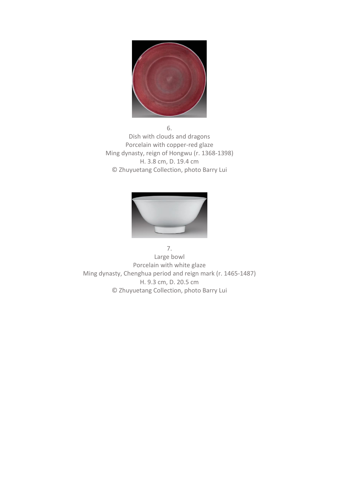

6. Dish with clouds and dragons Porcelain with copper-red glaze Ming dynasty, reign of Hongwu (r. 1368-1398) H. 3.8 cm, D. 19.4 cm © Zhuyuetang Collection, photo Barry Lui



7. Large bowl Porcelain with white glaze Ming dynasty, Chenghua period and reign mark (r. 1465-1487) H. 9.3 cm, D. 20.5 cm © Zhuyuetang Collection, photo Barry Lui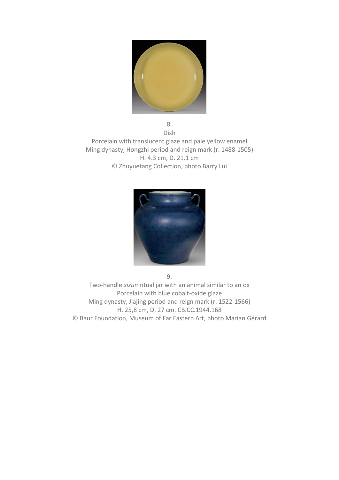

8. Dish Porcelain with translucent glaze and pale yellow enamel Ming dynasty, Hongzhi period and reign mark (r. 1488-1505) H. 4.3 cm, D. 21.1 cm © Zhuyuetang Collection, photo Barry Lui



9.

Two-handle *xizun* ritual jar with an animal similar to an ox Porcelain with blue cobalt-oxide glaze Ming dynasty, Jiajing period and reign mark (r. 1522-1566) H. 25,8 cm, D. 27 cm. CB.CC.1944.168 © Baur Foundation, Museum of Far Eastern Art, photo Marian Gérard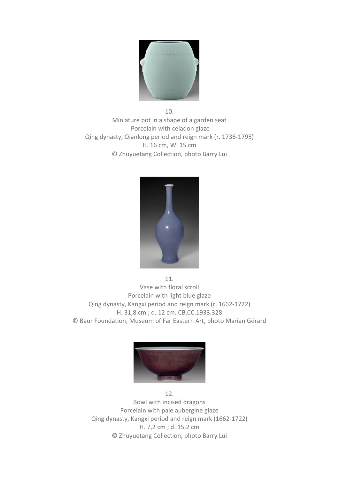

10. Miniature pot in a shape of a garden seat Porcelain with celadon glaze Qing dynasty, Qianlong period and reign mark (r. 1736-1795) H. 16 cm, W. 15 cm © Zhuyuetang Collection, photo Barry Lui



11. Vase with floral scroll Porcelain with light blue glaze Qing dynasty, Kangxi period and reign mark (r. 1662-1722) H. 31,8 cm ; d. 12 cm. CB.CC.1933.328 © Baur Foundation, Museum of Far Eastern Art, photo Marian Gérard



12. Bowl with incised dragons Porcelain with pale aubergine glaze Qing dynasty, Kangxi period and reign mark (1662-1722) H. 7,2 cm ; d. 15,2 cm © Zhuyuetang Collection, photo Barry Lui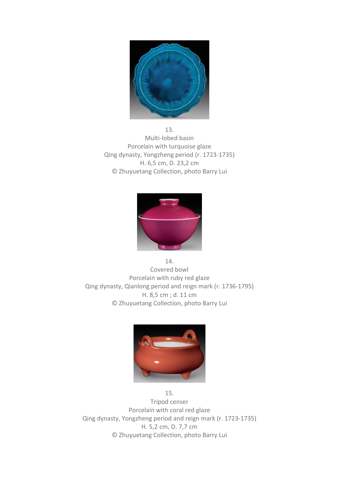

13. Multi-lobed basin Porcelain with turquoise glaze Qing dynasty, Yongzheng period (r. 1723-1735) H. 6,5 cm, D. 23,2 cm © Zhuyuetang Collection, photo Barry Lui



14. Covered bowl Porcelain with ruby red glaze Qing dynasty, Qianlong period and reign mark (r. 1736-1795) H. 8,5 cm ; d. 11 cm © Zhuyuetang Collection, photo Barry Lui



15. Tripod censer Porcelain with coral red glaze Qing dynasty, Yongzheng period and reign mark (r. 1723-1735) H. 5,2 cm, D. 7,7 cm © Zhuyuetang Collection, photo Barry Lui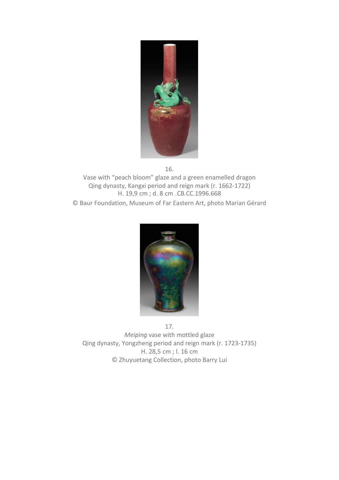

16.

Vase with "peach bloom" glaze and a green enamelled dragon Qing dynasty, Kangxi period and reign mark (r. 1662-1722) H. 19,9 cm ; d. 8 cm .CB.CC.1996.668 © Baur Foundation, Museum of Far Eastern Art, photo Marian Gérard



17. *Meiping* vase with mottled glaze Qing dynasty, Yongzheng period and reign mark (r. 1723-1735) H. 28,5 cm ; l. 16 cm © Zhuyuetang Collection, photo Barry Lui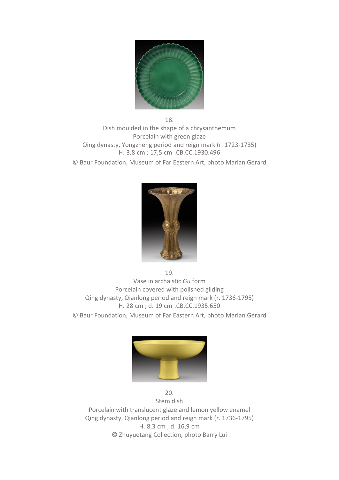

18. Dish moulded in the shape of a chrysanthemum Porcelain with green glaze Qing dynasty, Yongzheng period and reign mark (r. 1723-1735) H. 3,8 cm ; 17,5 cm .CB.CC.1930.496 © Baur Foundation, Museum of Far Eastern Art, photo Marian Gérard



19.

Vase in archaistic *Gu* form Porcelain covered with polished gilding Qing dynasty, Qianlong period and reign mark (r. 1736-1795) H. 28 cm ; d. 19 cm .CB.CC.1935.650 © Baur Foundation, Museum of Far Eastern Art, photo Marian Gérard



 $20<sup>-2</sup>$ Stem dish Porcelain with translucent glaze and lemon yellow enamel Qing dynasty, Qianlong period and reign mark (r. 1736-1795) H. 8,3 cm ; d. 16,9 cm © Zhuyuetang Collection, photo Barry Lui